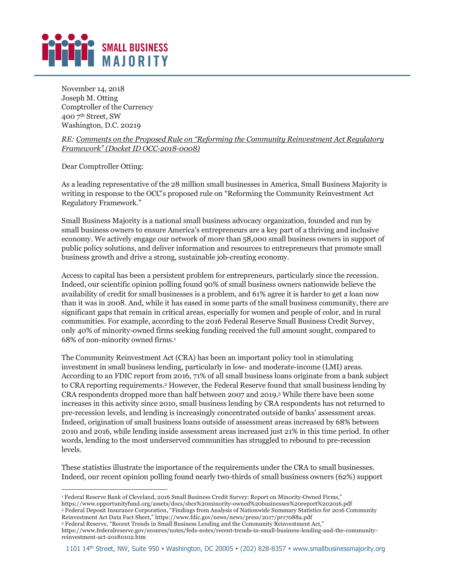## SMALL BUSINESS **MAJORITY**

November 14, 2018 Joseph M. Otting Comptroller of the Currency 400 7th Street, SW Washington, D.C. 20219

*RE: Comments on the Proposed Rule on "Reforming the Community Reinvestment Act Regulatory Framework" (Docket ID OCC-2018-0008)*

Dear Comptroller Otting:

As a leading representative of the 28 million small businesses in America, Small Business Majority is writing in response to the OCC's proposed rule on "Reforming the Community Reinvestment Act Regulatory Framework."

Small Business Majority is a national small business advocacy organization, founded and run by small business owners to ensure America's entrepreneurs are a key part of a thriving and inclusive economy. We actively engage our network of more than 58,000 small business owners in support of public policy solutions, and deliver information and resources to entrepreneurs that promote small business growth and drive a strong, sustainable job-creating economy.

Access to capital has been a persistent problem for entrepreneurs, particularly since the recession. Indeed, our scientific opinion polling found 90% of small business owners nationwide believe the availability of credit for small businesses is a problem, and 61% agree it is harder to get a loan now than it was in 2008. And, while it has eased in some parts of the small business community, there are significant gaps that remain in critical areas, especially for women and people of color, and in rural communities. For example, according to the 2016 Federal Reserve Small Business Credit Survey, only 40% of minority-owned firms seeking funding received the full amount sought, compared to 68% of non-minority owned firms.1

The Community Reinvestment Act (CRA) has been an important policy tool in stimulating investment in small business lending, particularly in low- and moderate-income (LMI) areas. According to an FDIC report from 2016, 71% of all small business loans originate from a bank subject to CRA reporting requirements.2 However, the Federal Reserve found that small business lending by CRA respondents dropped more than half between 2007 and 2019.3 While there have been some increases in this activity since 2010, small business lending by CRA respondents has not returned to pre-recession levels, and lending is increasingly concentrated outside of banks' assessment areas. Indeed, origination of small business loans outside of assessment areas increased by 68% between 2010 and 2016, while lending inside assessment areas increased just 21% in this time period. In other words, lending to the most underserved communities has struggled to rebound to pre-recession levels.

These statistics illustrate the importance of the requirements under the CRA to small businesses. Indeed, our recent opinion polling found nearly two-thirds of small business owners (62%) support

<sup>-</sup><sup>1</sup> Federal Reserve Bank of Cleveland, 2016 Small Business Credit Survey: Report on Minority-Owned Firms,"

https://www.opportunityfund.org/assets/docs/sbcs%20minority-owned%20businesses%20report%202016.pdf

<sup>2</sup> Federal Deposit Insurance Corporation, "Findings from Analysis of Nationwide Summary Statistics for 2016 Community Reinvestment Act Data Fact Sheet," https://www.fdic.gov/news/news/press/2017/pr17088a.pdf

<sup>3</sup> Federal Reserve, "Recent Trends in Small Business Lending and the Community Reinvestment Act,"

https://www.federalreserve.gov/econres/notes/feds-notes/recent-trends-in-small-business-lending-and-the-communityreinvestment-act-20180102.htm